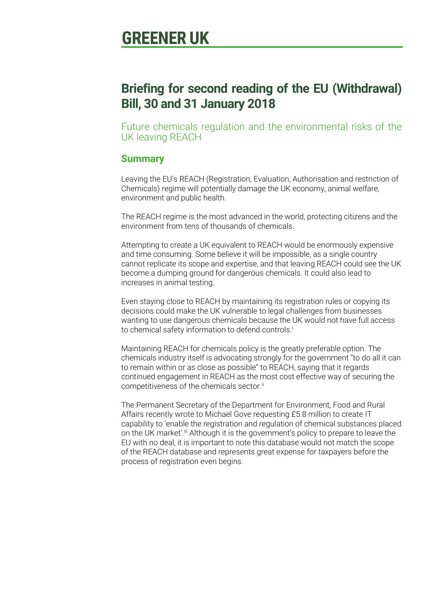# **GREENER UK**

### **Briefing for second reading of the EU (Withdrawal) Bill, 30 and 31 January 2018**

Future chemicals regulation and the environmental risks of the UK leaving REACH

#### **Summary**

Leaving the EU's REACH (Registration, Evaluation, Authorisation and restriction of Chemicals) regime will potentially damage the UK economy, animal welfare, environment and public health.

The REACH regime is the most advanced in the world, protecting citizens and the environment from tens of thousands of chemicals.

Attempting to create a UK equivalent to REACH would be enormously expensive and time consuming. Some believe it will be impossible, as a single country cannot replicate its scope and expertise, and that leaving REACH could see the UK become a dumping ground for dangerous chemicals. It could also lead to increases in animal testing.

Even staying close to REACH by maintaining its registration rules or copying its decisions could make the UK vulnerable to legal challenges from businesses wanting to use dangerous chemicals because the UK would not have full access to chemical safety information to defend controls.<sup>i</sup>

Maintaining REACH for chemicals policy is the greatly preferable option. The chemicals industry itself is advocating strongly for the government "to do all it can to remain within or as close as possible" to REACH, saying that it regards continued engagement in REACH as the most cost effective way of securing the competitiveness of the chemicals sector.<sup>ii</sup>

The Permanent Secretary of the Department for Environment, Food and Rural Affairs recently wrote to Michael Gove requesting £5.8 million to create IT capability to 'enable the registration and regulation of chemical substances placed on the UK market'.<sup>iii</sup> Although it is the government's policy to prepare to leave the EU with no deal, it is important to note this database would not match the scope of the REACH database and represents great expense for taxpayers before the process of registration even begins.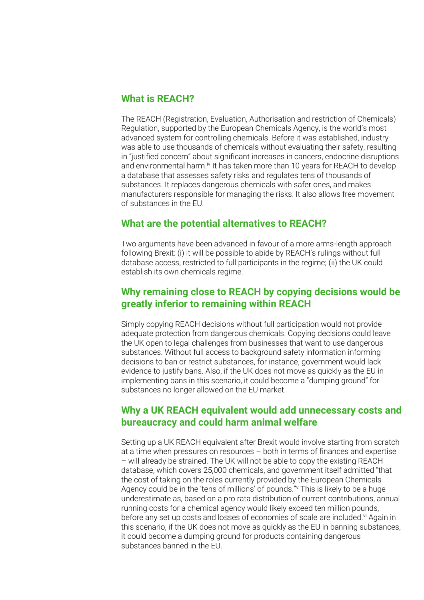#### **What is REACH?**

The REACH (Registration, Evaluation, Authorisation and restriction of Chemicals) Regulation, supported by the European Chemicals Agency, is the world's most advanced system for controlling chemicals. Before it was established, industry was able to use thousands of chemicals without evaluating their safety, resulting in "justified concern" about significant increases in cancers, endocrine disruptions and environmental harm.<sup>iv</sup> It has taken more than 10 years for REACH to develop a database that assesses safety risks and regulates tens of thousands of substances. It replaces dangerous chemicals with safer ones, and makes manufacturers responsible for managing the risks. It also allows free movement of substances in the EU.

#### **What are the potential alternatives to REACH?**

Two arguments have been advanced in favour of a more arms-length approach following Brexit: (i) it will be possible to abide by REACH's rulings without full database access, restricted to full participants in the regime; (ii) the UK could establish its own chemicals regime.

#### **Why remaining close to REACH by copying decisions would be greatly inferior to remaining within REACH**

Simply copying REACH decisions without full participation would not provide adequate protection from dangerous chemicals. Copying decisions could leave the UK open to legal challenges from businesses that want to use dangerous substances. Without full access to background safety information informing decisions to ban or restrict substances, for instance, government would lack evidence to justify bans. Also, if the UK does not move as quickly as the EU in implementing bans in this scenario, it could become a "dumping ground" for substances no longer allowed on the EU market.

#### **Why a UK REACH equivalent would add unnecessary costs and bureaucracy and could harm animal welfare**

Setting up a UK REACH equivalent after Brexit would involve starting from scratch at a time when pressures on resources – both in terms of finances and expertise – will already be strained. The UK will not be able to copy the existing REACH database, which covers 25,000 chemicals, and government itself admitted "that the cost of taking on the roles currently provided by the European Chemicals Agency could be in the 'tens of millions' of pounds."<sup>v</sup> This is likely to be a huge underestimate as, based on a pro rata distribution of current contributions, annual running costs for a chemical agency would likely exceed ten million pounds, before any set up costs and losses of economies of scale are included.<sup>vi</sup> Again in this scenario, if the UK does not move as quickly as the EU in banning substances, it could become a dumping ground for products containing dangerous substances banned in the EU.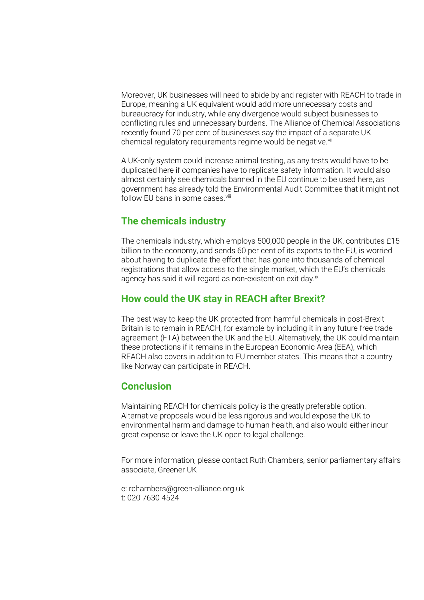Moreover, UK businesses will need to abide by and register with REACH to trade in Europe, meaning a UK equivalent would add more unnecessary costs and bureaucracy for industry, while any divergence would subject businesses to conflicting rules and unnecessary burdens. The Alliance of Chemical Associations recently found 70 per cent of businesses say the impact of a separate UK chemical regulatory requirements regime would be negative.<sup>vii</sup>

A UK-only system could increase animal testing, as any tests would have to be duplicated here if companies have to replicate safety information. It would also almost certainly see chemicals banned in the EU continue to be used here, as government has already told the Environmental Audit Committee that it might not follow EU bans in some cases.<sup>viii</sup>

#### **The chemicals industry**

The chemicals industry, which employs 500,000 people in the UK, contributes £15 billion to the economy, and sends 60 per cent of its exports to the EU, is worried about having to duplicate the effort that has gone into thousands of chemical registrations that allow access to the single market, which the EU's chemicals agency has said it will regard as non-existent on exit day.<sup>ix</sup>

#### **How could the UK stay in REACH after Brexit?**

The best way to keep the UK protected from harmful chemicals in post-Brexit Britain is to remain in REACH, for example by including it in any future free trade agreement (FTA) between the UK and the EU. Alternatively, the UK could maintain these protections if it remains in the European Economic Area (EEA), which REACH also covers in addition to EU member states. This means that a country like Norway can participate in REACH.

#### **Conclusion**

Maintaining REACH for chemicals policy is the greatly preferable option. Alternative proposals would be less rigorous and would expose the UK to environmental harm and damage to human health, and also would either incur great expense or leave the UK open to legal challenge.

For more information, please contact Ruth Chambers, senior parliamentary affairs associate, Greener UK

e: rchambers@green-alliance.org.uk t: 020 7630 4524